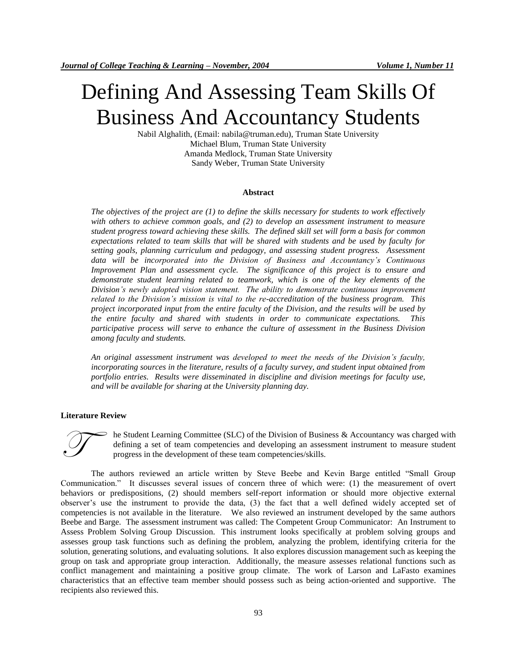# Defining And Assessing Team Skills Of Business And Accountancy Students

Nabil Alghalith, (Email: nabila@truman.edu), Truman State University Michael Blum, Truman State University Amanda Medlock, Truman State University Sandy Weber, Truman State University

#### **Abstract**

*The objectives of the project are (1) to define the skills necessary for students to work effectively with others to achieve common goals, and (2) to develop an assessment instrument to measure student progress toward achieving these skills. The defined skill set will form a basis for common expectations related to team skills that will be shared with students and be used by faculty for setting goals, planning curriculum and pedagogy, and assessing student progress. Assessment data will be incorporated into the Division of Business and Accountancy's Continuous Improvement Plan and assessment cycle. The significance of this project is to ensure and demonstrate student learning related to teamwork, which is one of the key elements of the Division's newly adopted vision statement. The ability to demonstrate continuous improvement related to the Division's mission is vital to the re-accreditation of the business program. This project incorporated input from the entire faculty of the Division, and the results will be used by the entire faculty and shared with students in order to communicate expectations. This participative process will serve to enhance the culture of assessment in the Business Division among faculty and students.* 

*An original assessment instrument was developed to meet the needs of the Division's faculty, incorporating sources in the literature, results of a faculty survey, and student input obtained from portfolio entries. Results were disseminated in discipline and division meetings for faculty use, and will be available for sharing at the University planning day.* 

#### **Literature Review**



he Student Learning Committee (SLC) of the Division of Business & Accountancy was charged with defining a set of team competencies and developing an assessment instrument to measure student progress in the development of these team competencies/skills.

The authors reviewed an article written by Steve Beebe and Kevin Barge entitled "Small Group Communication." It discusses several issues of concern three of which were: (1) the measurement of overt behaviors or predispositions, (2) should members self-report information or should more objective external observer's use the instrument to provide the data, (3) the fact that a well defined widely accepted set of competencies is not available in the literature. We also reviewed an instrument developed by the same authors Beebe and Barge. The assessment instrument was called: The Competent Group Communicator: An Instrument to Assess Problem Solving Group Discussion. This instrument looks specifically at problem solving groups and assesses group task functions such as defining the problem, analyzing the problem, identifying criteria for the solution, generating solutions, and evaluating solutions. It also explores discussion management such as keeping the group on task and appropriate group interaction. Additionally, the measure assesses relational functions such as conflict management and maintaining a positive group climate. The work of Larson and LaFasto examines characteristics that an effective team member should possess such as being action-oriented and supportive. The recipients also reviewed this.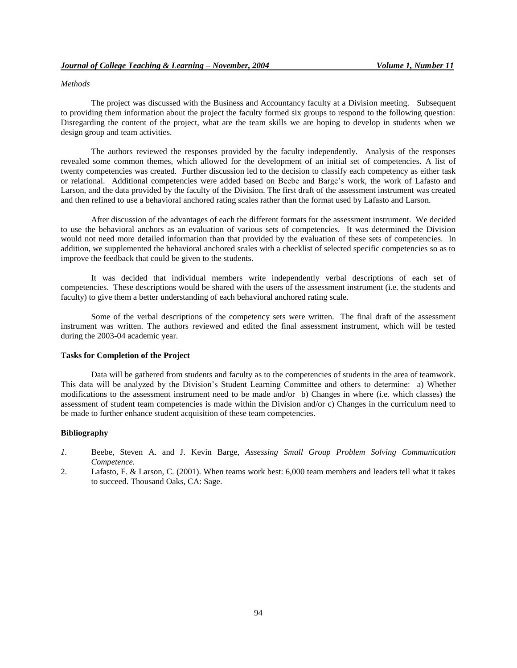## *Methods*

The project was discussed with the Business and Accountancy faculty at a Division meeting. Subsequent to providing them information about the project the faculty formed six groups to respond to the following question: Disregarding the content of the project, what are the team skills we are hoping to develop in students when we design group and team activities.

The authors reviewed the responses provided by the faculty independently. Analysis of the responses revealed some common themes, which allowed for the development of an initial set of competencies. A list of twenty competencies was created. Further discussion led to the decision to classify each competency as either task or relational. Additional competencies were added based on Beebe and Barge's work, the work of Lafasto and Larson, and the data provided by the faculty of the Division. The first draft of the assessment instrument was created and then refined to use a behavioral anchored rating scales rather than the format used by Lafasto and Larson.

After discussion of the advantages of each the different formats for the assessment instrument. We decided to use the behavioral anchors as an evaluation of various sets of competencies. It was determined the Division would not need more detailed information than that provided by the evaluation of these sets of competencies. In addition, we supplemented the behavioral anchored scales with a checklist of selected specific competencies so as to improve the feedback that could be given to the students.

It was decided that individual members write independently verbal descriptions of each set of competencies. These descriptions would be shared with the users of the assessment instrument (i.e. the students and faculty) to give them a better understanding of each behavioral anchored rating scale.

Some of the verbal descriptions of the competency sets were written. The final draft of the assessment instrument was written. The authors reviewed and edited the final assessment instrument, which will be tested during the 2003-04 academic year.

## **Tasks for Completion of the Project**

Data will be gathered from students and faculty as to the competencies of students in the area of teamwork. This data will be analyzed by the Division's Student Learning Committee and others to determine: a) Whether modifications to the assessment instrument need to be made and/or b) Changes in where (i.e. which classes) the assessment of student team competencies is made within the Division and/or c) Changes in the curriculum need to be made to further enhance student acquisition of these team competencies.

## **Bibliography**

- *1.* Beebe, Steven A. and J. Kevin Barge, *Assessing Small Group Problem Solving Communication Competence.*
- 2. Lafasto, F. & Larson, C. (2001). When teams work best: 6,000 team members and leaders tell what it takes to succeed. Thousand Oaks, CA: Sage.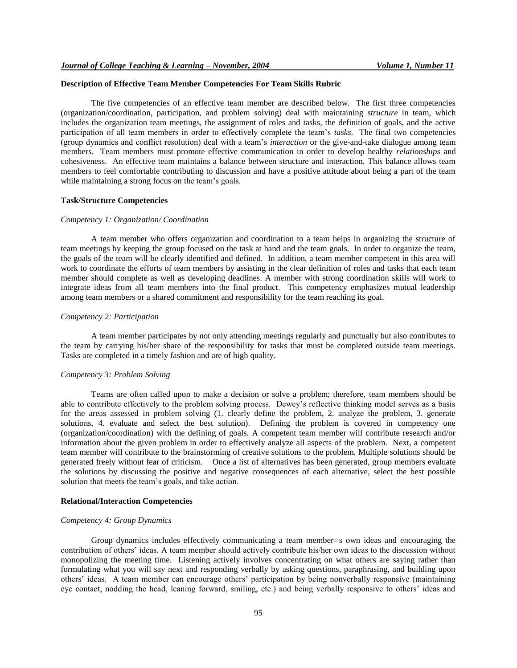## **Description of Effective Team Member Competencies For Team Skills Rubric**

The five competencies of an effective team member are described below. The first three competencies (organization/coordination, participation, and problem solving) deal with maintaining *structure* in team, which includes the organization team meetings, the assignment of roles and tasks, the definition of goals, and the active participation of all team members in order to effectively complete the team's *tasks*. The final two competencies (group dynamics and conflict resolution) deal with a team's *interaction* or the give-and-take dialogue among team members. Team members must promote effective communication in order to develop healthy *relationships* and cohesiveness. An effective team maintains a balance between structure and interaction. This balance allows team members to feel comfortable contributing to discussion and have a positive attitude about being a part of the team while maintaining a strong focus on the team's goals.

#### **Task/Structure Competencies**

#### *Competency 1: Organization/ Coordination*

A team member who offers organization and coordination to a team helps in organizing the structure of team meetings by keeping the group focused on the task at hand and the team goals. In order to organize the team, the goals of the team will be clearly identified and defined. In addition, a team member competent in this area will work to coordinate the efforts of team members by assisting in the clear definition of roles and tasks that each team member should complete as well as developing deadlines. A member with strong coordination skills will work to integrate ideas from all team members into the final product. This competency emphasizes mutual leadership among team members or a shared commitment and responsibility for the team reaching its goal.

## *Competency 2: Participation*

A team member participates by not only attending meetings regularly and punctually but also contributes to the team by carrying his/her share of the responsibility for tasks that must be completed outside team meetings. Tasks are completed in a timely fashion and are of high quality.

## *Competency 3: Problem Solving*

Teams are often called upon to make a decision or solve a problem; therefore, team members should be able to contribute effectively to the problem solving process. Dewey's reflective thinking model serves as a basis for the areas assessed in problem solving (1. clearly define the problem, 2. analyze the problem, 3. generate solutions, 4. evaluate and select the best solution). Defining the problem is covered in competency one (organization/coordination) with the defining of goals. A competent team member will contribute research and/or information about the given problem in order to effectively analyze all aspects of the problem. Next, a competent team member will contribute to the brainstorming of creative solutions to the problem. Multiple solutions should be generated freely without fear of criticism. Once a list of alternatives has been generated, group members evaluate the solutions by discussing the positive and negative consequences of each alternative, select the best possible solution that meets the team's goals, and take action.

## **Relational/Interaction Competencies**

#### *Competency 4: Group Dynamics*

Group dynamics includes effectively communicating a team member=s own ideas and encouraging the contribution of others' ideas. A team member should actively contribute his/her own ideas to the discussion without monopolizing the meeting time. Listening actively involves concentrating on what others are saying rather than formulating what you will say next and responding verbally by asking questions, paraphrasing, and building upon others' ideas. A team member can encourage others' participation by being nonverbally responsive (maintaining eye contact, nodding the head, leaning forward, smiling, etc.) and being verbally responsive to others' ideas and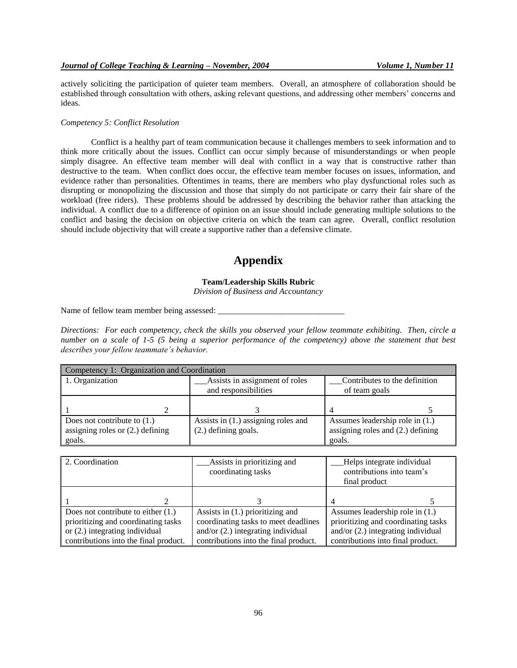actively soliciting the participation of quieter team members. Overall, an atmosphere of collaboration should be established through consultation with others, asking relevant questions, and addressing other members' concerns and ideas.

## *Competency 5: Conflict Resolution*

Conflict is a healthy part of team communication because it challenges members to seek information and to think more critically about the issues. Conflict can occur simply because of misunderstandings or when people simply disagree. An effective team member will deal with conflict in a way that is constructive rather than destructive to the team. When conflict does occur, the effective team member focuses on issues, information, and evidence rather than personalities. Oftentimes in teams, there are members who play dysfunctional roles such as disrupting or monopolizing the discussion and those that simply do not participate or carry their fair share of the workload (free riders). These problems should be addressed by describing the behavior rather than attacking the individual. A conflict due to a difference of opinion on an issue should include generating multiple solutions to the conflict and basing the decision on objective criteria on which the team can agree. Overall, conflict resolution should include objectivity that will create a supportive rather than a defensive climate.

## **Appendix**

## **Team/Leadership Skills Rubric**

*Division of Business and Accountancy*

Name of fellow team member being assessed: \_\_\_\_\_\_\_\_\_\_\_\_\_\_\_\_\_\_\_\_\_\_\_\_\_\_\_\_\_\_

*Directions: For each competency, check the skills you observed your fellow teammate exhibiting. Then, circle a number on a scale of 1-5 (5 being a superior performance of the competency) above the statement that best describes your fellow teammate's behavior.* 

| Competency 1: Organization and Coordination |                                       |                                     |  |
|---------------------------------------------|---------------------------------------|-------------------------------------|--|
| 1. Organization                             | Assists in assignment of roles        | Contributes to the definition       |  |
|                                             | and responsibilities                  | of team goals                       |  |
|                                             |                                       |                                     |  |
|                                             |                                       |                                     |  |
| Does not contribute to $(1.)$               | Assists in $(1.)$ assigning roles and | Assumes leadership role in $(1.)$   |  |
| assigning roles or $(2.)$ defining          | (2.) defining goals.                  | assigning roles and $(2.)$ defining |  |
| goals.                                      |                                       | goals.                              |  |

| 2. Coordination                       | Assists in prioritizing and           | Helps integrate individual           |
|---------------------------------------|---------------------------------------|--------------------------------------|
|                                       | coordinating tasks                    | contributions into team's            |
|                                       |                                       | final product                        |
|                                       |                                       |                                      |
|                                       |                                       |                                      |
| Does not contribute to either $(1.)$  | Assists in $(1.)$ prioritizing and    | Assumes leadership role in $(1.)$    |
| prioritizing and coordinating tasks   | coordinating tasks to meet deadlines  | prioritizing and coordinating tasks  |
| or $(2.)$ integrating individual      | and/or $(2.)$ integrating individual  | and/or $(2.)$ integrating individual |
| contributions into the final product. | contributions into the final product. | contributions into final product.    |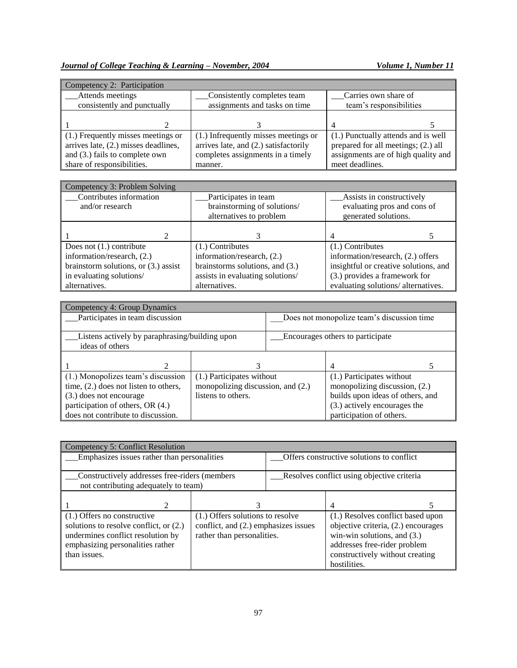| Competency 2: Participation            |                                       |                                     |  |
|----------------------------------------|---------------------------------------|-------------------------------------|--|
| Attends meetings                       | Consistently completes team           | Carries own share of                |  |
| consistently and punctually            | assignments and tasks on time         | team's responsibilities             |  |
|                                        |                                       |                                     |  |
|                                        |                                       |                                     |  |
| (1.) Frequently misses meetings or     | (1.) Infrequently misses meetings or  | (1.) Punctually attends and is well |  |
| arrives late, $(2.)$ misses deadlines, | arrives late, and (2.) satisfactorily | prepared for all meetings; (2.) all |  |
| and (3.) fails to complete own         | completes assignments in a timely     | assignments are of high quality and |  |
| share of responsibilities.             | manner.                               | meet deadlines.                     |  |

| Competency 3: Problem Solving          |                                  |                                       |
|----------------------------------------|----------------------------------|---------------------------------------|
| Contributes information                | Participates in team             | Assists in constructively             |
| and/or research                        | brainstorming of solutions/      | evaluating pros and cons of           |
|                                        | alternatives to problem          | generated solutions.                  |
|                                        |                                  |                                       |
|                                        |                                  |                                       |
| Does not $(1.)$ contribute             | $(1.)$ Contributes               | $(1.)$ Contributes                    |
| information/research, (2.)             | information/research, (2.)       | information/research, (2.) offers     |
| brainstorm solutions, or $(3.)$ assist | brainstorms solutions, and (3.)  | insightful or creative solutions, and |
| in evaluating solutions/               | assists in evaluating solutions/ | (3.) provides a framework for         |
| alternatives.                          | alternatives.                    | evaluating solutions/ alternatives.   |

| Competency 4: Group Dynamics                   |                                   |                                            |                                  |  |
|------------------------------------------------|-----------------------------------|--------------------------------------------|----------------------------------|--|
| Participates in team discussion                |                                   | Does not monopolize team's discussion time |                                  |  |
|                                                |                                   |                                            |                                  |  |
| Listens actively by paraphrasing/building upon |                                   | Encourages others to participate           |                                  |  |
| ideas of others                                |                                   |                                            |                                  |  |
|                                                |                                   |                                            |                                  |  |
| 2                                              |                                   |                                            | 4                                |  |
| (1.) Monopolizes team's discussion             | (1.) Participates without         |                                            | (1.) Participates without        |  |
| time, $(2.)$ does not listen to others,        | monopolizing discussion, and (2.) |                                            | monopolizing discussion, (2.)    |  |
| (3.) does not encourage                        | listens to others.                |                                            | builds upon ideas of others, and |  |
| participation of others, OR (4.)               |                                   |                                            | (3.) actively encourages the     |  |
| does not contribute to discussion.             |                                   |                                            | participation of others.         |  |

| Competency 5: Conflict Resolution                                                                                                                              |                                                                                                        |                                            |                                                                                                                                                                                              |  |
|----------------------------------------------------------------------------------------------------------------------------------------------------------------|--------------------------------------------------------------------------------------------------------|--------------------------------------------|----------------------------------------------------------------------------------------------------------------------------------------------------------------------------------------------|--|
| Emphasizes issues rather than personalities                                                                                                                    |                                                                                                        | Offers constructive solutions to conflict  |                                                                                                                                                                                              |  |
| Constructively addresses free-riders (members<br>not contributing adequately to team)                                                                          |                                                                                                        | Resolves conflict using objective criteria |                                                                                                                                                                                              |  |
|                                                                                                                                                                |                                                                                                        |                                            | 4                                                                                                                                                                                            |  |
| (1.) Offers no constructive<br>solutions to resolve conflict, or (2.)<br>undermines conflict resolution by<br>emphasizing personalities rather<br>than issues. | (1.) Offers solutions to resolve<br>conflict, and (2.) emphasizes issues<br>rather than personalities. |                                            | (1.) Resolves conflict based upon<br>objective criteria, (2.) encourages<br>win-win solutions, and $(3.)$<br>addresses free-rider problem<br>constructively without creating<br>hostilities. |  |